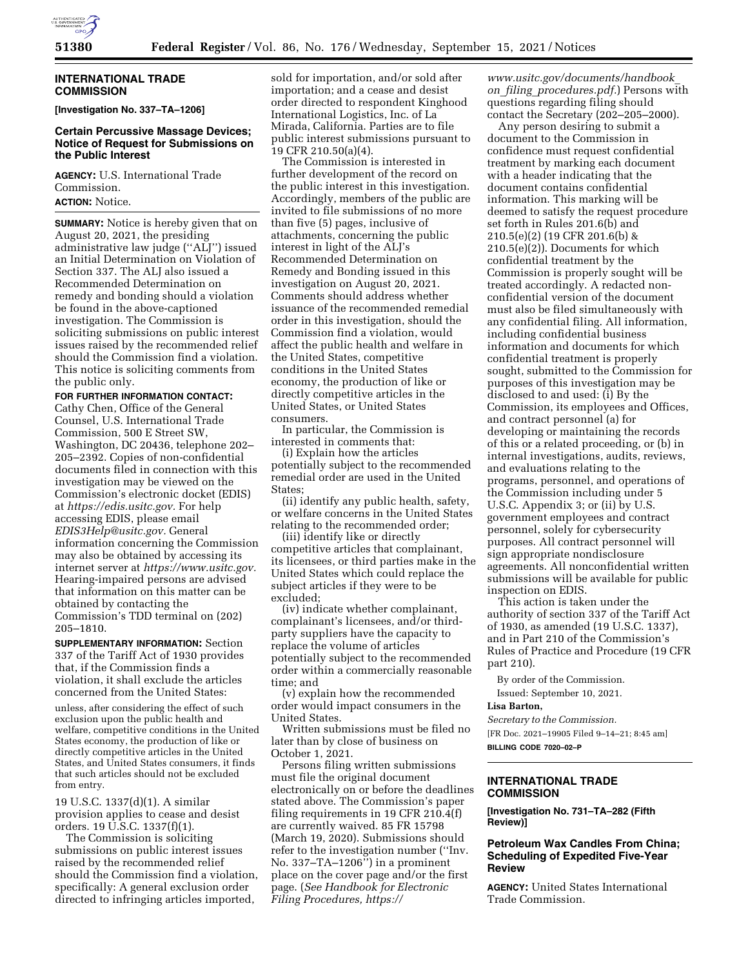

### **INTERNATIONAL TRADE COMMISSION**

**[Investigation No. 337–TA–1206]** 

## **Certain Percussive Massage Devices; Notice of Request for Submissions on the Public Interest**

**AGENCY:** U.S. International Trade Commission.

# **ACTION:** Notice.

**SUMMARY:** Notice is hereby given that on August 20, 2021, the presiding administrative law judge (''ALJ'') issued an Initial Determination on Violation of Section 337. The ALJ also issued a Recommended Determination on remedy and bonding should a violation be found in the above-captioned investigation. The Commission is soliciting submissions on public interest issues raised by the recommended relief should the Commission find a violation. This notice is soliciting comments from the public only.

**FOR FURTHER INFORMATION CONTACT:** 

Cathy Chen, Office of the General Counsel, U.S. International Trade Commission, 500 E Street SW, Washington, DC 20436, telephone 202– 205–2392. Copies of non-confidential documents filed in connection with this investigation may be viewed on the Commission's electronic docket (EDIS) at *https://edis.usitc.gov.* For help accessing EDIS, please email *EDIS3Help@usitc.gov.* General information concerning the Commission may also be obtained by accessing its internet server at *https://www.usitc.gov.*  Hearing-impaired persons are advised that information on this matter can be obtained by contacting the Commission's TDD terminal on (202) 205–1810.

**SUPPLEMENTARY INFORMATION:** Section 337 of the Tariff Act of 1930 provides that, if the Commission finds a violation, it shall exclude the articles concerned from the United States:

unless, after considering the effect of such exclusion upon the public health and welfare, competitive conditions in the United States economy, the production of like or directly competitive articles in the United States, and United States consumers, it finds that such articles should not be excluded from entry.

19 U.S.C. 1337(d)(1). A similar provision applies to cease and desist orders. 19 U.S.C. 1337(f)(1).

The Commission is soliciting submissions on public interest issues raised by the recommended relief should the Commission find a violation, specifically: A general exclusion order directed to infringing articles imported,

sold for importation, and/or sold after importation; and a cease and desist order directed to respondent Kinghood International Logistics, Inc. of La Mirada, California. Parties are to file public interest submissions pursuant to 19 CFR 210.50(a)(4).

The Commission is interested in further development of the record on the public interest in this investigation. Accordingly, members of the public are invited to file submissions of no more than five (5) pages, inclusive of attachments, concerning the public interest in light of the ALJ's Recommended Determination on Remedy and Bonding issued in this investigation on August 20, 2021. Comments should address whether issuance of the recommended remedial order in this investigation, should the Commission find a violation, would affect the public health and welfare in the United States, competitive conditions in the United States economy, the production of like or directly competitive articles in the United States, or United States consumers.

In particular, the Commission is interested in comments that:

(i) Explain how the articles potentially subject to the recommended remedial order are used in the United States;

(ii) identify any public health, safety, or welfare concerns in the United States relating to the recommended order;

(iii) identify like or directly competitive articles that complainant, its licensees, or third parties make in the United States which could replace the subject articles if they were to be excluded;

(iv) indicate whether complainant, complainant's licensees, and/or thirdparty suppliers have the capacity to replace the volume of articles potentially subject to the recommended order within a commercially reasonable time; and

(v) explain how the recommended order would impact consumers in the United States.

Written submissions must be filed no later than by close of business on October 1, 2021.

Persons filing written submissions must file the original document electronically on or before the deadlines stated above. The Commission's paper filing requirements in 19 CFR 210.4(f) are currently waived. 85 FR 15798 (March 19, 2020). Submissions should refer to the investigation number (''Inv. No. 337–TA–1206<sup>"</sup>) in a prominent place on the cover page and/or the first page. (*See Handbook for Electronic Filing Procedures, https://*

*www.usitc.gov/documents/handbook*\_ *on*\_*filing*\_*procedures.pdf.*) Persons with questions regarding filing should contact the Secretary (202–205–2000).

Any person desiring to submit a document to the Commission in confidence must request confidential treatment by marking each document with a header indicating that the document contains confidential information. This marking will be deemed to satisfy the request procedure set forth in Rules 201.6(b) and 210.5(e)(2) (19 CFR 201.6(b) & 210.5(e)(2)). Documents for which confidential treatment by the Commission is properly sought will be treated accordingly. A redacted nonconfidential version of the document must also be filed simultaneously with any confidential filing. All information, including confidential business information and documents for which confidential treatment is properly sought, submitted to the Commission for purposes of this investigation may be disclosed to and used: (i) By the Commission, its employees and Offices, and contract personnel (a) for developing or maintaining the records of this or a related proceeding, or (b) in internal investigations, audits, reviews, and evaluations relating to the programs, personnel, and operations of the Commission including under 5 U.S.C. Appendix 3; or (ii) by U.S. government employees and contract personnel, solely for cybersecurity purposes. All contract personnel will sign appropriate nondisclosure agreements. All nonconfidential written submissions will be available for public inspection on EDIS.

This action is taken under the authority of section 337 of the Tariff Act of 1930, as amended (19 U.S.C. 1337), and in Part 210 of the Commission's Rules of Practice and Procedure (19 CFR part 210).

By order of the Commission. Issued: September 10, 2021.

#### **Lisa Barton,**

*Secretary to the Commission.*  [FR Doc. 2021–19905 Filed 9–14–21; 8:45 am] **BILLING CODE 7020–02–P** 

## **INTERNATIONAL TRADE COMMISSION**

**[Investigation No. 731–TA–282 (Fifth Review)]** 

### **Petroleum Wax Candles From China; Scheduling of Expedited Five-Year Review**

**AGENCY:** United States International Trade Commission.